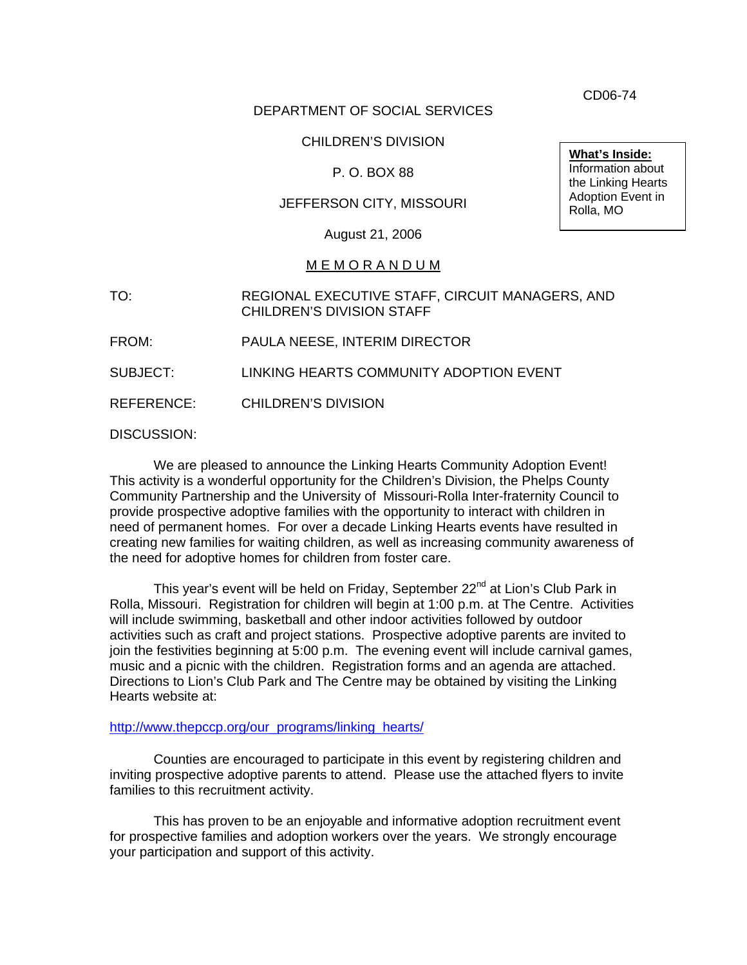DEPARTMENT OF SOCIAL SERVICES

## CHILDREN'S DIVISION

## P. O. BOX 88

## JEFFERSON CITY, MISSOURI

August 21, 2006

### M E M O R A N D U M

TO: REGIONAL EXECUTIVE STAFF, CIRCUIT MANAGERS, AND CHILDREN'S DIVISION STAFF

FROM: PAULA NEESE, INTERIM DIRECTOR

SUBJECT: LINKING HEARTS COMMUNITY ADOPTION EVENT

REFERENCE: CHILDREN'S DIVISION

DISCUSSION:

 We are pleased to announce the Linking Hearts Community Adoption Event! This activity is a wonderful opportunity for the Children's Division, the Phelps County Community Partnership and the University of Missouri-Rolla Inter-fraternity Council to provide prospective adoptive families with the opportunity to interact with children in need of permanent homes. For over a decade Linking Hearts events have resulted in creating new families for waiting children, as well as increasing community awareness of the need for adoptive homes for children from foster care.

This year's event will be held on Friday, September 22<sup>nd</sup> at Lion's Club Park in Rolla, Missouri. Registration for children will begin at 1:00 p.m. at The Centre. Activities will include swimming, basketball and other indoor activities followed by outdoor activities such as craft and project stations. Prospective adoptive parents are invited to join the festivities beginning at 5:00 p.m. The evening event will include carnival games, music and a picnic with the children. Registration forms and an agenda are attached. Directions to Lion's Club Park and The Centre may be obtained by visiting the Linking Hearts website at:

#### [http://www.thepccp.org/our\\_programs/linking\\_hearts/](http://www.thepccp.org/our_programs/linking_hearts/)

Counties are encouraged to participate in this event by registering children and inviting prospective adoptive parents to attend. Please use the attached flyers to invite families to this recruitment activity.

This has proven to be an enjoyable and informative adoption recruitment event for prospective families and adoption workers over the years. We strongly encourage your participation and support of this activity.

CD06-74

**What's Inside:** Information about the Linking Hearts Adoption Event in Rolla, MO